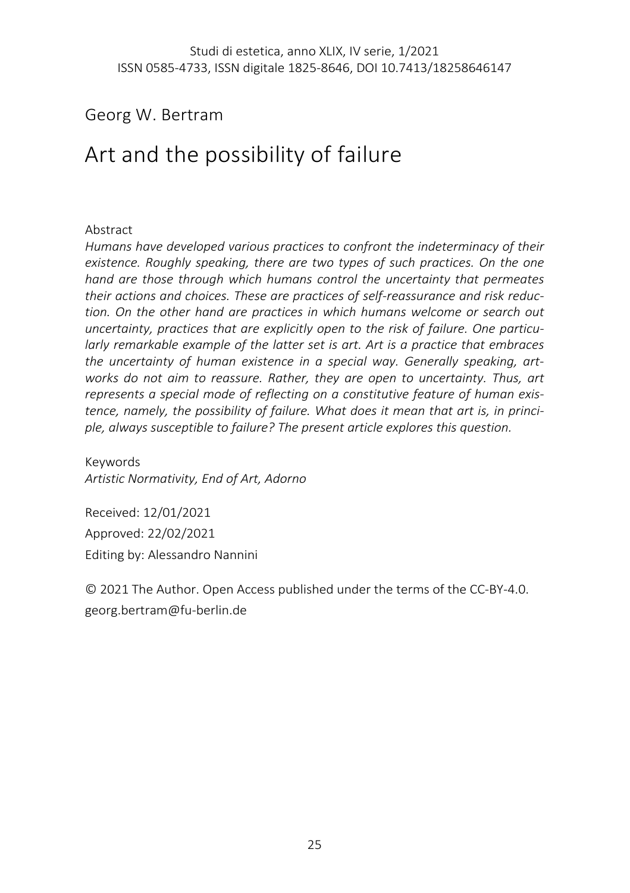## Georg W. Bertram

# Art and the possibility of failure

#### Abstract

*Humans have developed various practices to confront the indeterminacy of their existence. Roughly speaking, there are two types of such practices. On the one hand are those through which humans control the uncertainty that permeates their actions and choices. These are practices of self-reassurance and risk reduction. On the other hand are practices in which humans welcome or search out uncertainty, practices that are explicitly open to the risk of failure. One particularly remarkable example of the latter set is art. Art is a practice that embraces the uncertainty of human existence in a special way. Generally speaking, artworks do not aim to reassure. Rather, they are open to uncertainty. Thus, art represents a special mode of reflecting on a constitutive feature of human existence, namely, the possibility of failure. What does it mean that art is, in principle, always susceptible to failure? The present article explores this question.*

Keywords *Artistic Normativity, End of Art, Adorno*

Received: 12/01/2021 Approved: 22/02/2021 Editing by: Alessandro Nannini

© 2021 The Author. Open Access published under the terms of the CC-BY-4.0. georg.bertram@fu-berlin.de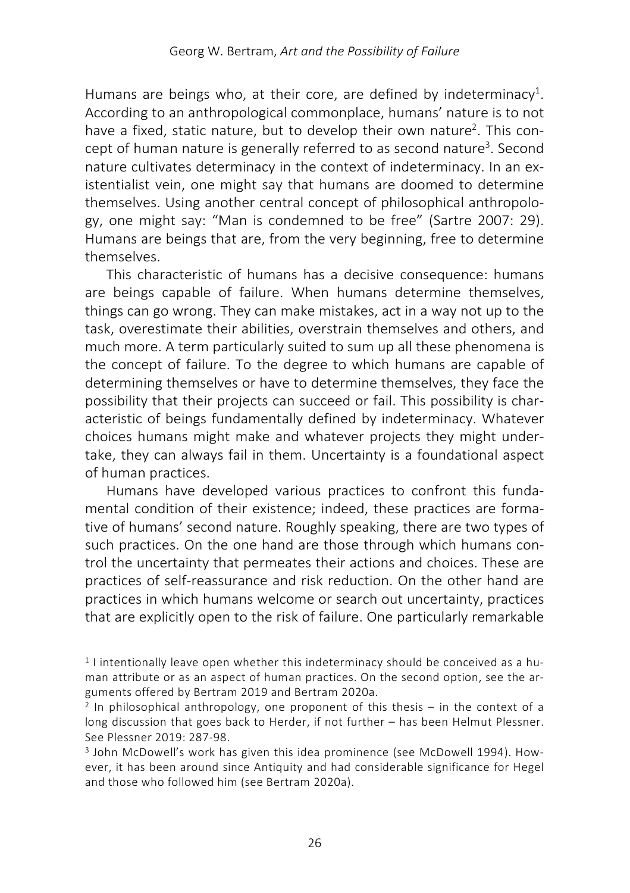Humans are beings who, at their core, are defined by indeterminacy<sup>1</sup>. According to an anthropological commonplace, humans' nature is to not have a fixed, static nature, but to develop their own nature<sup>2</sup>. This concept of human nature is generally referred to as second nature<sup>3</sup>. Second nature cultivates determinacy in the context of indeterminacy. In an existentialist vein, one might say that humans are doomed to determine themselves. Using another central concept of philosophical anthropology, one might say: "Man is condemned to be free" (Sartre 2007: 29). Humans are beings that are, from the very beginning, free to determine themselves.

This characteristic of humans has a decisive consequence: humans are beings capable of failure. When humans determine themselves, things can go wrong. They can make mistakes, act in a way not up to the task, overestimate their abilities, overstrain themselves and others, and much more. A term particularly suited to sum up all these phenomena is the concept of failure. To the degree to which humans are capable of determining themselves or have to determine themselves, they face the possibility that their projects can succeed or fail. This possibility is characteristic of beings fundamentally defined by indeterminacy. Whatever choices humans might make and whatever projects they might undertake, they can always fail in them. Uncertainty is a foundational aspect of human practices.

Humans have developed various practices to confront this fundamental condition of their existence; indeed, these practices are formative of humans' second nature. Roughly speaking, there are two types of such practices. On the one hand are those through which humans control the uncertainty that permeates their actions and choices. These are practices of self-reassurance and risk reduction. On the other hand are practices in which humans welcome or search out uncertainty, practices that are explicitly open to the risk of failure. One particularly remarkable

<sup>1</sup> I intentionally leave open whether this indeterminacy should be conceived as a human attribute or as an aspect of human practices. On the second option, see the arguments offered by Bertram 2019 and Bertram 2020a.

 $2$  In philosophical anthropology, one proponent of this thesis – in the context of a long discussion that goes back to Herder, if not further – has been Helmut Plessner. See Plessner 2019: 287-98.

<sup>3</sup> John McDowell's work has given this idea prominence (see McDowell 1994). However, it has been around since Antiquity and had considerable significance for Hegel and those who followed him (see Bertram 2020a).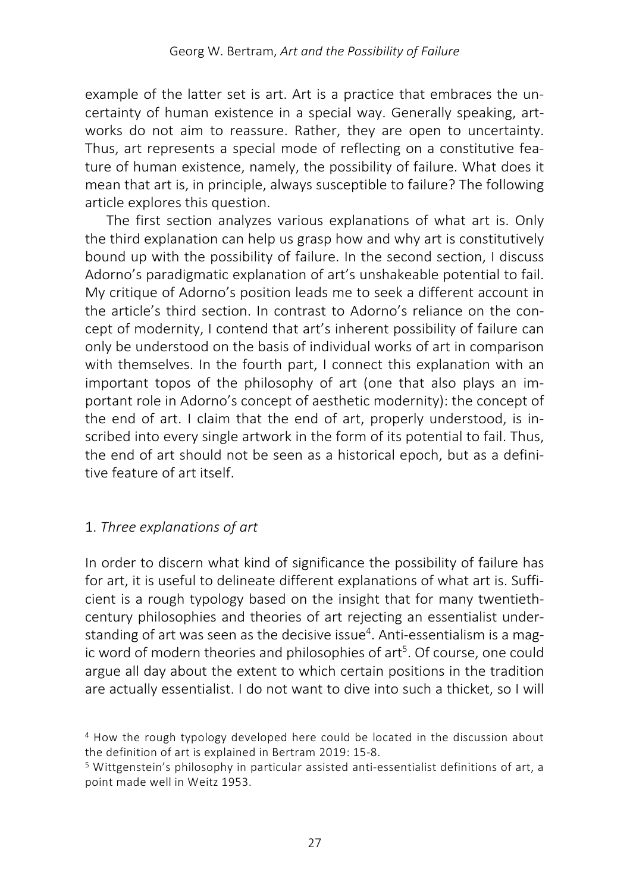example of the latter set is art. Art is a practice that embraces the uncertainty of human existence in a special way. Generally speaking, artworks do not aim to reassure. Rather, they are open to uncertainty. Thus, art represents a special mode of reflecting on a constitutive feature of human existence, namely, the possibility of failure. What does it mean that art is, in principle, always susceptible to failure? The following article explores this question.

The first section analyzes various explanations of what art is. Only the third explanation can help us grasp how and why art is constitutively bound up with the possibility of failure. In the second section, I discuss Adorno's paradigmatic explanation of art's unshakeable potential to fail. My critique of Adorno's position leads me to seek a different account in the article's third section. In contrast to Adorno's reliance on the concept of modernity, I contend that art's inherent possibility of failure can only be understood on the basis of individual works of art in comparison with themselves. In the fourth part, I connect this explanation with an important topos of the philosophy of art (one that also plays an important role in Adorno's concept of aesthetic modernity): the concept of the end of art. I claim that the end of art, properly understood, is inscribed into every single artwork in the form of its potential to fail. Thus, the end of art should not be seen as a historical epoch, but as a definitive feature of art itself.

### 1. *Three explanations of art*

In order to discern what kind of significance the possibility of failure has for art, it is useful to delineate different explanations of what art is. Sufficient is a rough typology based on the insight that for many twentiethcentury philosophies and theories of art rejecting an essentialist understanding of art was seen as the decisive issue<sup>4</sup>. Anti-essentialism is a magic word of modern theories and philosophies of art<sup>5</sup>. Of course, one could argue all day about the extent to which certain positions in the tradition are actually essentialist. I do not want to dive into such a thicket, so I will

<sup>4</sup> How the rough typology developed here could be located in the discussion about the definition of art is explained in Bertram 2019: 15-8.

<sup>5</sup> Wittgenstein's philosophy in particular assisted anti-essentialist definitions of art, a point made well in Weitz 1953.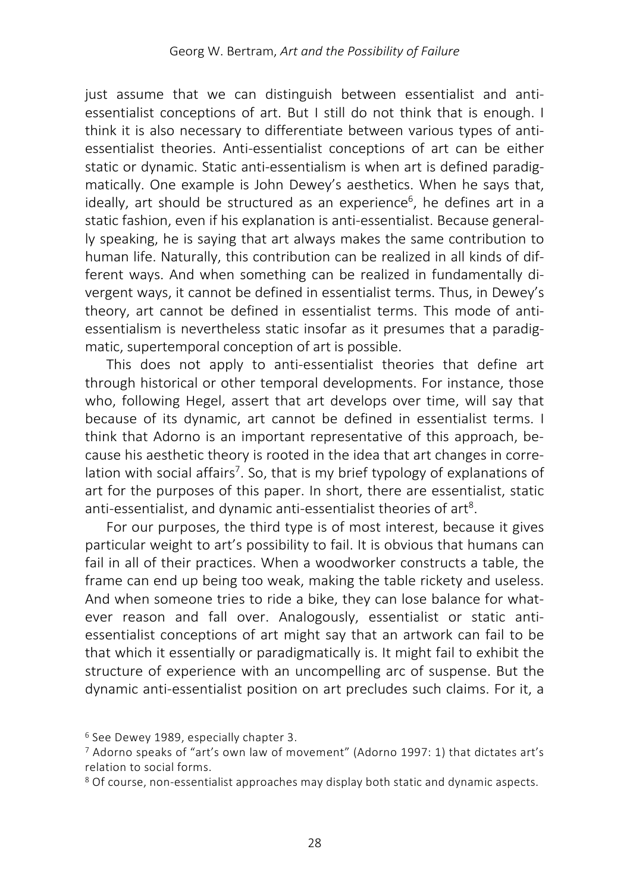just assume that we can distinguish between essentialist and antiessentialist conceptions of art. But I still do not think that is enough. I think it is also necessary to differentiate between various types of antiessentialist theories. Anti-essentialist conceptions of art can be either static or dynamic. Static anti-essentialism is when art is defined paradigmatically. One example is John Dewey's aesthetics. When he says that, ideally, art should be structured as an experience<sup>6</sup>, he defines art in a static fashion, even if his explanation is anti-essentialist. Because generally speaking, he is saying that art always makes the same contribution to human life. Naturally, this contribution can be realized in all kinds of different ways. And when something can be realized in fundamentally divergent ways, it cannot be defined in essentialist terms. Thus, in Dewey's theory, art cannot be defined in essentialist terms. This mode of antiessentialism is nevertheless static insofar as it presumes that a paradigmatic, supertemporal conception of art is possible.

This does not apply to anti-essentialist theories that define art through historical or other temporal developments. For instance, those who, following Hegel, assert that art develops over time, will say that because of its dynamic, art cannot be defined in essentialist terms. I think that Adorno is an important representative of this approach, because his aesthetic theory is rooted in the idea that art changes in correlation with social affairs<sup>7</sup>. So, that is my brief typology of explanations of art for the purposes of this paper. In short, there are essentialist, static anti-essentialist, and dynamic anti-essentialist theories of art<sup>8</sup>.

For our purposes, the third type is of most interest, because it gives particular weight to art's possibility to fail. It is obvious that humans can fail in all of their practices. When a woodworker constructs a table, the frame can end up being too weak, making the table rickety and useless. And when someone tries to ride a bike, they can lose balance for whatever reason and fall over. Analogously, essentialist or static antiessentialist conceptions of art might say that an artwork can fail to be that which it essentially or paradigmatically is. It might fail to exhibit the structure of experience with an uncompelling arc of suspense. But the dynamic anti-essentialist position on art precludes such claims. For it, a

<sup>6</sup> See Dewey 1989, especially chapter 3.

<sup>7</sup> Adorno speaks of "art's own law of movement" (Adorno 1997: 1) that dictates art's relation to social forms.

<sup>8</sup> Of course, non-essentialist approaches may display both static and dynamic aspects.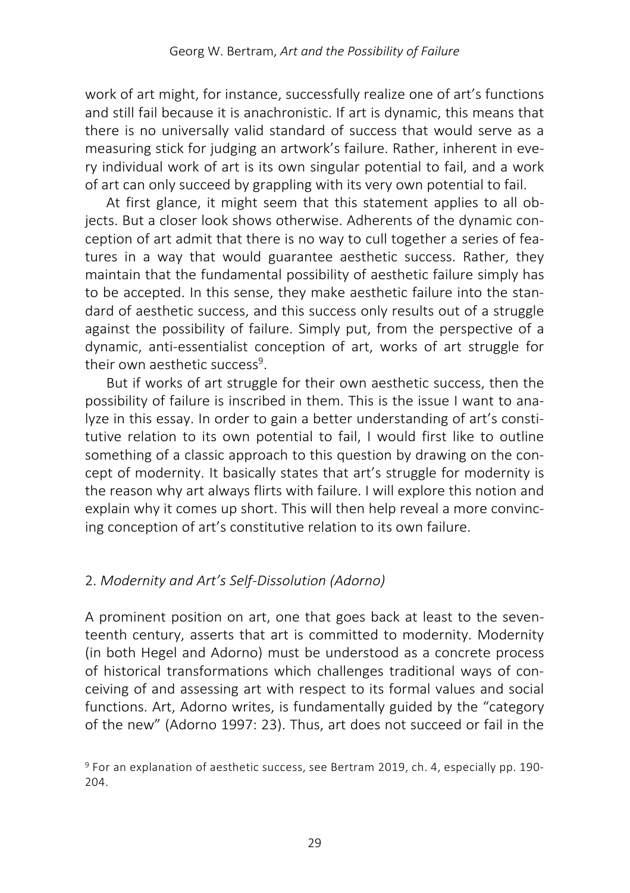work of art might, for instance, successfully realize one of art's functions and still fail because it is anachronistic. If art is dynamic, this means that there is no universally valid standard of success that would serve as a measuring stick for judging an artwork's failure. Rather, inherent in every individual work of art is its own singular potential to fail, and a work of art can only succeed by grappling with its very own potential to fail.

At first glance, it might seem that this statement applies to all objects. But a closer look shows otherwise. Adherents of the dynamic conception of art admit that there is no way to cull together a series of features in a way that would guarantee aesthetic success. Rather, they maintain that the fundamental possibility of aesthetic failure simply has to be accepted. In this sense, they make aesthetic failure into the standard of aesthetic success, and this success only results out of a struggle against the possibility of failure. Simply put, from the perspective of a dynamic, anti-essentialist conception of art, works of art struggle for their own aesthetic success<sup>9</sup>.

But if works of art struggle for their own aesthetic success, then the possibility of failure is inscribed in them. This is the issue I want to analyze in this essay. In order to gain a better understanding of art's constitutive relation to its own potential to fail, I would first like to outline something of a classic approach to this question by drawing on the concept of modernity. It basically states that art's struggle for modernity is the reason why art always flirts with failure. I will explore this notion and explain why it comes up short. This will then help reveal a more convincing conception of art's constitutive relation to its own failure.

### 2. *Modernity and Art's Self-Dissolution (Adorno)*

A prominent position on art, one that goes back at least to the seventeenth century, asserts that art is committed to modernity. Modernity (in both Hegel and Adorno) must be understood as a concrete process of historical transformations which challenges traditional ways of conceiving of and assessing art with respect to its formal values and social functions. Art, Adorno writes, is fundamentally guided by the "category of the new" (Adorno 1997: 23). Thus, art does not succeed or fail in the

<sup>9</sup> For an explanation of aesthetic success, see Bertram 2019, ch. 4, especially pp. 190- 204.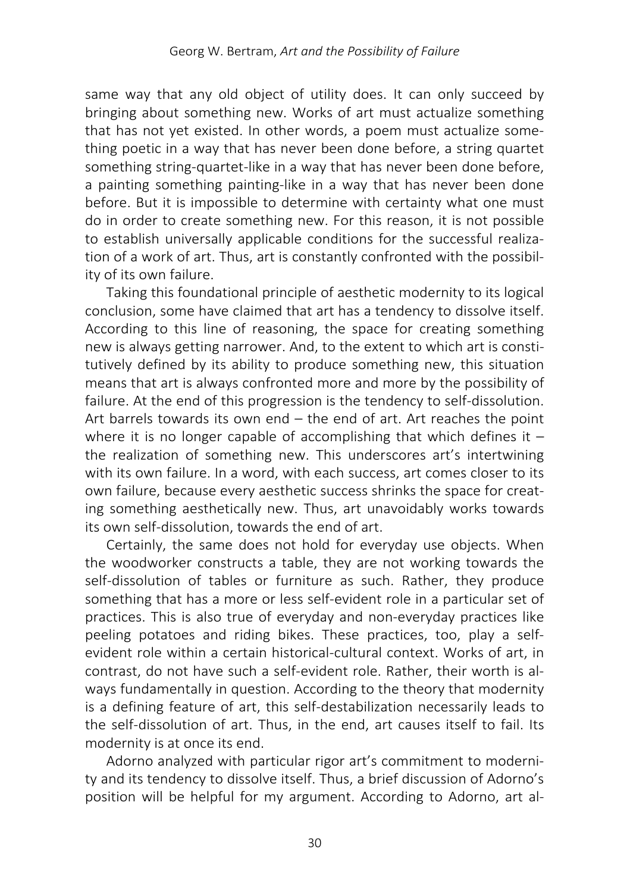same way that any old object of utility does. It can only succeed by bringing about something new. Works of art must actualize something that has not yet existed. In other words, a poem must actualize something poetic in a way that has never been done before, a string quartet something string-quartet-like in a way that has never been done before, a painting something painting-like in a way that has never been done before. But it is impossible to determine with certainty what one must do in order to create something new. For this reason, it is not possible to establish universally applicable conditions for the successful realization of a work of art. Thus, art is constantly confronted with the possibility of its own failure.

Taking this foundational principle of aesthetic modernity to its logical conclusion, some have claimed that art has a tendency to dissolve itself. According to this line of reasoning, the space for creating something new is always getting narrower. And, to the extent to which art is constitutively defined by its ability to produce something new, this situation means that art is always confronted more and more by the possibility of failure. At the end of this progression is the tendency to self-dissolution. Art barrels towards its own end – the end of art. Art reaches the point where it is no longer capable of accomplishing that which defines it  $$ the realization of something new. This underscores art's intertwining with its own failure. In a word, with each success, art comes closer to its own failure, because every aesthetic success shrinks the space for creating something aesthetically new. Thus, art unavoidably works towards its own self-dissolution, towards the end of art.

Certainly, the same does not hold for everyday use objects. When the woodworker constructs a table, they are not working towards the self-dissolution of tables or furniture as such. Rather, they produce something that has a more or less self-evident role in a particular set of practices. This is also true of everyday and non-everyday practices like peeling potatoes and riding bikes. These practices, too, play a selfevident role within a certain historical-cultural context. Works of art, in contrast, do not have such a self-evident role. Rather, their worth is always fundamentally in question. According to the theory that modernity is a defining feature of art, this self-destabilization necessarily leads to the self-dissolution of art. Thus, in the end, art causes itself to fail. Its modernity is at once its end.

Adorno analyzed with particular rigor art's commitment to modernity and its tendency to dissolve itself. Thus, a brief discussion of Adorno's position will be helpful for my argument. According to Adorno, art al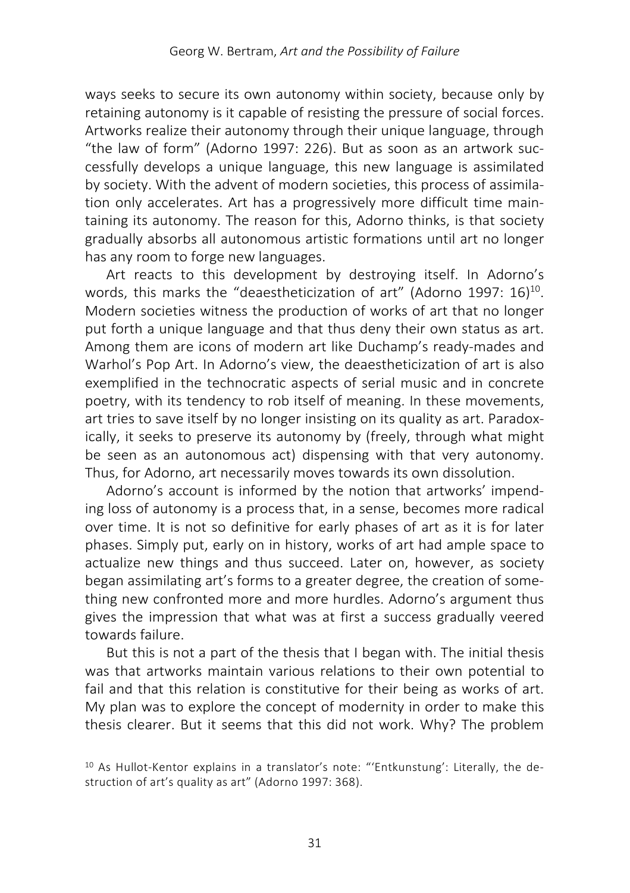ways seeks to secure its own autonomy within society, because only by retaining autonomy is it capable of resisting the pressure of social forces. Artworks realize their autonomy through their unique language, through "the law of form" (Adorno 1997: 226). But as soon as an artwork successfully develops a unique language, this new language is assimilated by society. With the advent of modern societies, this process of assimilation only accelerates. Art has a progressively more difficult time maintaining its autonomy. The reason for this, Adorno thinks, is that society gradually absorbs all autonomous artistic formations until art no longer has any room to forge new languages.

Art reacts to this development by destroying itself. In Adorno's words, this marks the "deaestheticization of art" (Adorno 1997: 16)<sup>10</sup>. Modern societies witness the production of works of art that no longer put forth a unique language and that thus deny their own status as art. Among them are icons of modern art like Duchamp's ready-mades and Warhol's Pop Art. In Adorno's view, the deaestheticization of art is also exemplified in the technocratic aspects of serial music and in concrete poetry, with its tendency to rob itself of meaning. In these movements, art tries to save itself by no longer insisting on its quality as art. Paradoxically, it seeks to preserve its autonomy by (freely, through what might be seen as an autonomous act) dispensing with that very autonomy. Thus, for Adorno, art necessarily moves towards its own dissolution.

Adorno's account is informed by the notion that artworks' impending loss of autonomy is a process that, in a sense, becomes more radical over time. It is not so definitive for early phases of art as it is for later phases. Simply put, early on in history, works of art had ample space to actualize new things and thus succeed. Later on, however, as society began assimilating art's forms to a greater degree, the creation of something new confronted more and more hurdles. Adorno's argument thus gives the impression that what was at first a success gradually veered towards failure.

But this is not a part of the thesis that I began with. The initial thesis was that artworks maintain various relations to their own potential to fail and that this relation is constitutive for their being as works of art. My plan was to explore the concept of modernity in order to make this thesis clearer. But it seems that this did not work. Why? The problem

<sup>&</sup>lt;sup>10</sup> As Hullot-Kentor explains in a translator's note: "'Entkunstung': Literally, the destruction of art's quality as art" (Adorno 1997: 368).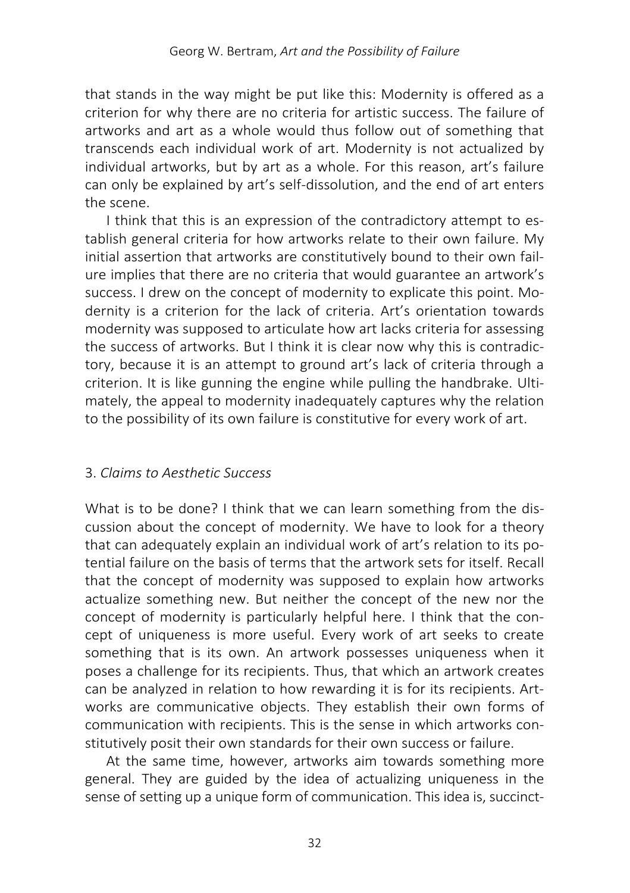that stands in the way might be put like this: Modernity is offered as a criterion for why there are no criteria for artistic success. The failure of artworks and art as a whole would thus follow out of something that transcends each individual work of art. Modernity is not actualized by individual artworks, but by art as a whole. For this reason, art's failure can only be explained by art's self-dissolution, and the end of art enters the scene.

I think that this is an expression of the contradictory attempt to establish general criteria for how artworks relate to their own failure. My initial assertion that artworks are constitutively bound to their own failure implies that there are no criteria that would guarantee an artwork's success. I drew on the concept of modernity to explicate this point. Modernity is a criterion for the lack of criteria. Art's orientation towards modernity was supposed to articulate how art lacks criteria for assessing the success of artworks. But I think it is clear now why this is contradictory, because it is an attempt to ground art's lack of criteria through a criterion. It is like gunning the engine while pulling the handbrake. Ultimately, the appeal to modernity inadequately captures why the relation to the possibility of its own failure is constitutive for every work of art.

#### 3. *Claims to Aesthetic Success*

What is to be done? I think that we can learn something from the discussion about the concept of modernity. We have to look for a theory that can adequately explain an individual work of art's relation to its potential failure on the basis of terms that the artwork sets for itself. Recall that the concept of modernity was supposed to explain how artworks actualize something new. But neither the concept of the new nor the concept of modernity is particularly helpful here. I think that the concept of uniqueness is more useful. Every work of art seeks to create something that is its own. An artwork possesses uniqueness when it poses a challenge for its recipients. Thus, that which an artwork creates can be analyzed in relation to how rewarding it is for its recipients. Artworks are communicative objects. They establish their own forms of communication with recipients. This is the sense in which artworks constitutively posit their own standards for their own success or failure.

At the same time, however, artworks aim towards something more general. They are guided by the idea of actualizing uniqueness in the sense of setting up a unique form of communication. This idea is, succinct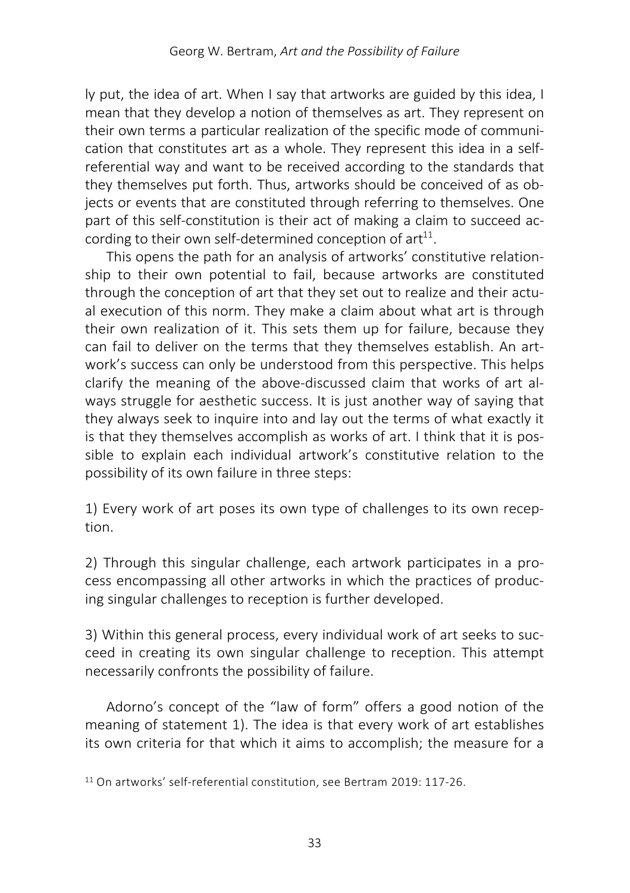ly put, the idea of art. When I say that artworks are guided by this idea, I mean that they develop a notion of themselves as art. They represent on their own terms a particular realization of the specific mode of communication that constitutes art as a whole. They represent this idea in a selfreferential way and want to be received according to the standards that they themselves put forth. Thus, artworks should be conceived of as objects or events that are constituted through referring to themselves. One part of this self-constitution is their act of making a claim to succeed according to their own self-determined conception of  $art<sup>11</sup>$ .

This opens the path for an analysis of artworks' constitutive relationship to their own potential to fail, because artworks are constituted through the conception of art that they set out to realize and their actual execution of this norm. They make a claim about what art is through their own realization of it. This sets them up for failure, because they can fail to deliver on the terms that they themselves establish. An artwork's success can only be understood from this perspective. This helps clarify the meaning of the above-discussed claim that works of art always struggle for aesthetic success. It is just another way of saying that they always seek to inquire into and lay out the terms of what exactly it is that they themselves accomplish as works of art. I think that it is possible to explain each individual artwork's constitutive relation to the possibility of its own failure in three steps:

1) Every work of art poses its own type of challenges to its own reception.

2) Through this singular challenge, each artwork participates in a process encompassing all other artworks in which the practices of producing singular challenges to reception is further developed.

3) Within this general process, every individual work of art seeks to succeed in creating its own singular challenge to reception. This attempt necessarily confronts the possibility of failure.

Adorno's concept of the "law of form" offers a good notion of the meaning of statement 1). The idea is that every work of art establishes its own criteria for that which it aims to accomplish; the measure for a

<sup>11</sup> On artworks' self-referential constitution, see Bertram 2019: 117-26.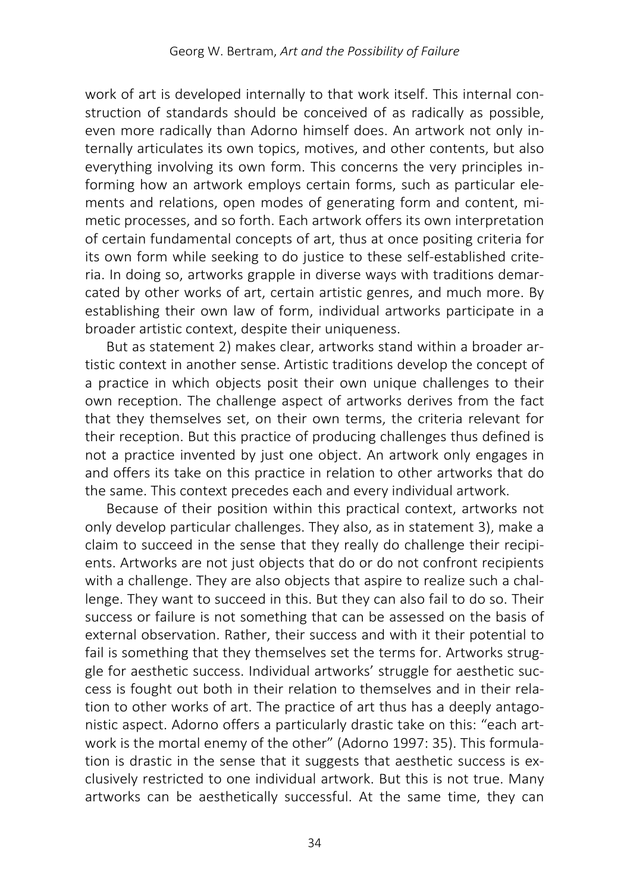work of art is developed internally to that work itself. This internal construction of standards should be conceived of as radically as possible, even more radically than Adorno himself does. An artwork not only internally articulates its own topics, motives, and other contents, but also everything involving its own form. This concerns the very principles informing how an artwork employs certain forms, such as particular elements and relations, open modes of generating form and content, mimetic processes, and so forth. Each artwork offers its own interpretation of certain fundamental concepts of art, thus at once positing criteria for its own form while seeking to do justice to these self-established criteria. In doing so, artworks grapple in diverse ways with traditions demarcated by other works of art, certain artistic genres, and much more. By establishing their own law of form, individual artworks participate in a broader artistic context, despite their uniqueness.

But as statement 2) makes clear, artworks stand within a broader artistic context in another sense. Artistic traditions develop the concept of a practice in which objects posit their own unique challenges to their own reception. The challenge aspect of artworks derives from the fact that they themselves set, on their own terms, the criteria relevant for their reception. But this practice of producing challenges thus defined is not a practice invented by just one object. An artwork only engages in and offers its take on this practice in relation to other artworks that do the same. This context precedes each and every individual artwork.

Because of their position within this practical context, artworks not only develop particular challenges. They also, as in statement 3), make a claim to succeed in the sense that they really do challenge their recipients. Artworks are not just objects that do or do not confront recipients with a challenge. They are also objects that aspire to realize such a challenge. They want to succeed in this. But they can also fail to do so. Their success or failure is not something that can be assessed on the basis of external observation. Rather, their success and with it their potential to fail is something that they themselves set the terms for. Artworks struggle for aesthetic success. Individual artworks' struggle for aesthetic success is fought out both in their relation to themselves and in their relation to other works of art. The practice of art thus has a deeply antagonistic aspect. Adorno offers a particularly drastic take on this: "each artwork is the mortal enemy of the other" (Adorno 1997: 35). This formulation is drastic in the sense that it suggests that aesthetic success is exclusively restricted to one individual artwork. But this is not true. Many artworks can be aesthetically successful. At the same time, they can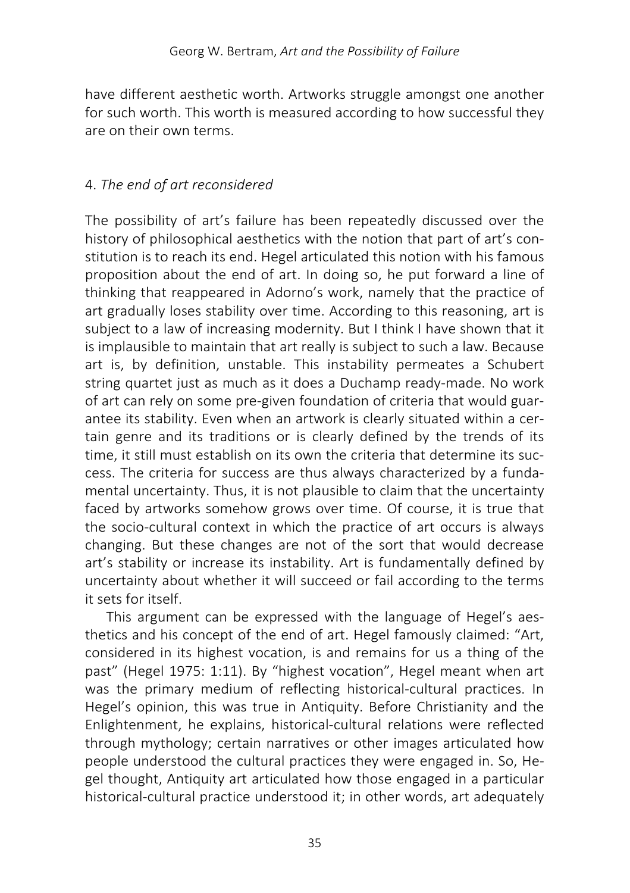have different aesthetic worth. Artworks struggle amongst one another for such worth. This worth is measured according to how successful they are on their own terms.

#### 4. *The end of art reconsidered*

The possibility of art's failure has been repeatedly discussed over the history of philosophical aesthetics with the notion that part of art's constitution is to reach its end. Hegel articulated this notion with his famous proposition about the end of art. In doing so, he put forward a line of thinking that reappeared in Adorno's work, namely that the practice of art gradually loses stability over time. According to this reasoning, art is subject to a law of increasing modernity. But I think I have shown that it is implausible to maintain that art really is subject to such a law. Because art is, by definition, unstable. This instability permeates a Schubert string quartet just as much as it does a Duchamp ready-made. No work of art can rely on some pre-given foundation of criteria that would guarantee its stability. Even when an artwork is clearly situated within a certain genre and its traditions or is clearly defined by the trends of its time, it still must establish on its own the criteria that determine its success. The criteria for success are thus always characterized by a fundamental uncertainty. Thus, it is not plausible to claim that the uncertainty faced by artworks somehow grows over time. Of course, it is true that the socio-cultural context in which the practice of art occurs is always changing. But these changes are not of the sort that would decrease art's stability or increase its instability. Art is fundamentally defined by uncertainty about whether it will succeed or fail according to the terms it sets for itself.

This argument can be expressed with the language of Hegel's aesthetics and his concept of the end of art. Hegel famously claimed: "Art, considered in its highest vocation, is and remains for us a thing of the past" (Hegel 1975: 1:11). By "highest vocation", Hegel meant when art was the primary medium of reflecting historical-cultural practices. In Hegel's opinion, this was true in Antiquity. Before Christianity and the Enlightenment, he explains, historical-cultural relations were reflected through mythology; certain narratives or other images articulated how people understood the cultural practices they were engaged in. So, Hegel thought, Antiquity art articulated how those engaged in a particular historical-cultural practice understood it; in other words, art adequately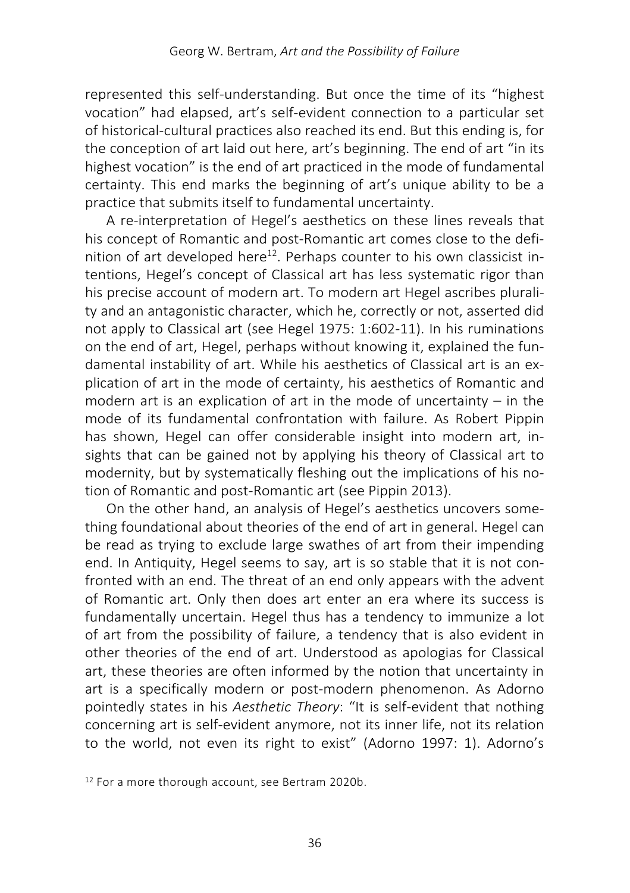represented this self-understanding. But once the time of its "highest vocation" had elapsed, art's self-evident connection to a particular set of historical-cultural practices also reached its end. But this ending is, for the conception of art laid out here, art's beginning. The end of art "in its highest vocation" is the end of art practiced in the mode of fundamental certainty. This end marks the beginning of art's unique ability to be a practice that submits itself to fundamental uncertainty.

A re-interpretation of Hegel's aesthetics on these lines reveals that his concept of Romantic and post-Romantic art comes close to the definition of art developed here<sup>12</sup>. Perhaps counter to his own classicist intentions, Hegel's concept of Classical art has less systematic rigor than his precise account of modern art. To modern art Hegel ascribes plurality and an antagonistic character, which he, correctly or not, asserted did not apply to Classical art (see Hegel 1975: 1:602-11). In his ruminations on the end of art, Hegel, perhaps without knowing it, explained the fundamental instability of art. While his aesthetics of Classical art is an explication of art in the mode of certainty, his aesthetics of Romantic and modern art is an explication of art in the mode of uncertainty – in the mode of its fundamental confrontation with failure. As Robert Pippin has shown, Hegel can offer considerable insight into modern art, insights that can be gained not by applying his theory of Classical art to modernity, but by systematically fleshing out the implications of his notion of Romantic and post-Romantic art (see Pippin 2013).

On the other hand, an analysis of Hegel's aesthetics uncovers something foundational about theories of the end of art in general. Hegel can be read as trying to exclude large swathes of art from their impending end. In Antiquity, Hegel seems to say, art is so stable that it is not confronted with an end. The threat of an end only appears with the advent of Romantic art. Only then does art enter an era where its success is fundamentally uncertain. Hegel thus has a tendency to immunize a lot of art from the possibility of failure, a tendency that is also evident in other theories of the end of art. Understood as apologias for Classical art, these theories are often informed by the notion that uncertainty in art is a specifically modern or post-modern phenomenon. As Adorno pointedly states in his *Aesthetic Theory*: "It is self-evident that nothing concerning art is self-evident anymore, not its inner life, not its relation to the world, not even its right to exist" (Adorno 1997: 1). Adorno's

<sup>12</sup> For a more thorough account, see Bertram 2020b.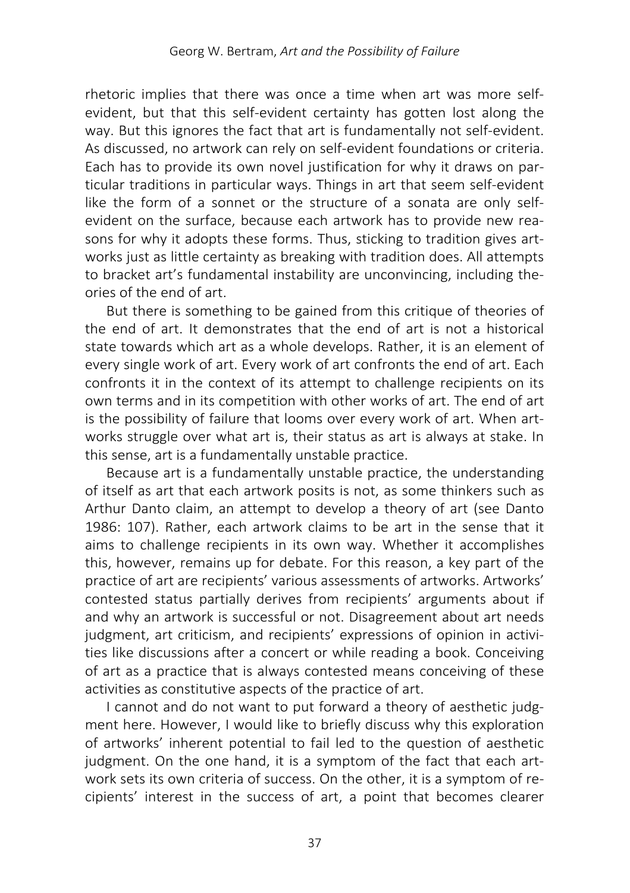rhetoric implies that there was once a time when art was more selfevident, but that this self-evident certainty has gotten lost along the way. But this ignores the fact that art is fundamentally not self-evident. As discussed, no artwork can rely on self-evident foundations or criteria. Each has to provide its own novel justification for why it draws on particular traditions in particular ways. Things in art that seem self-evident like the form of a sonnet or the structure of a sonata are only selfevident on the surface, because each artwork has to provide new reasons for why it adopts these forms. Thus, sticking to tradition gives artworks just as little certainty as breaking with tradition does. All attempts to bracket art's fundamental instability are unconvincing, including theories of the end of art.

But there is something to be gained from this critique of theories of the end of art. It demonstrates that the end of art is not a historical state towards which art as a whole develops. Rather, it is an element of every single work of art. Every work of art confronts the end of art. Each confronts it in the context of its attempt to challenge recipients on its own terms and in its competition with other works of art. The end of art is the possibility of failure that looms over every work of art. When artworks struggle over what art is, their status as art is always at stake. In this sense, art is a fundamentally unstable practice.

Because art is a fundamentally unstable practice, the understanding of itself as art that each artwork posits is not, as some thinkers such as Arthur Danto claim, an attempt to develop a theory of art (see Danto 1986: 107). Rather, each artwork claims to be art in the sense that it aims to challenge recipients in its own way. Whether it accomplishes this, however, remains up for debate. For this reason, a key part of the practice of art are recipients' various assessments of artworks. Artworks' contested status partially derives from recipients' arguments about if and why an artwork is successful or not. Disagreement about art needs judgment, art criticism, and recipients' expressions of opinion in activities like discussions after a concert or while reading a book. Conceiving of art as a practice that is always contested means conceiving of these activities as constitutive aspects of the practice of art.

I cannot and do not want to put forward a theory of aesthetic judgment here. However, I would like to briefly discuss why this exploration of artworks' inherent potential to fail led to the question of aesthetic judgment. On the one hand, it is a symptom of the fact that each artwork sets its own criteria of success. On the other, it is a symptom of recipients' interest in the success of art, a point that becomes clearer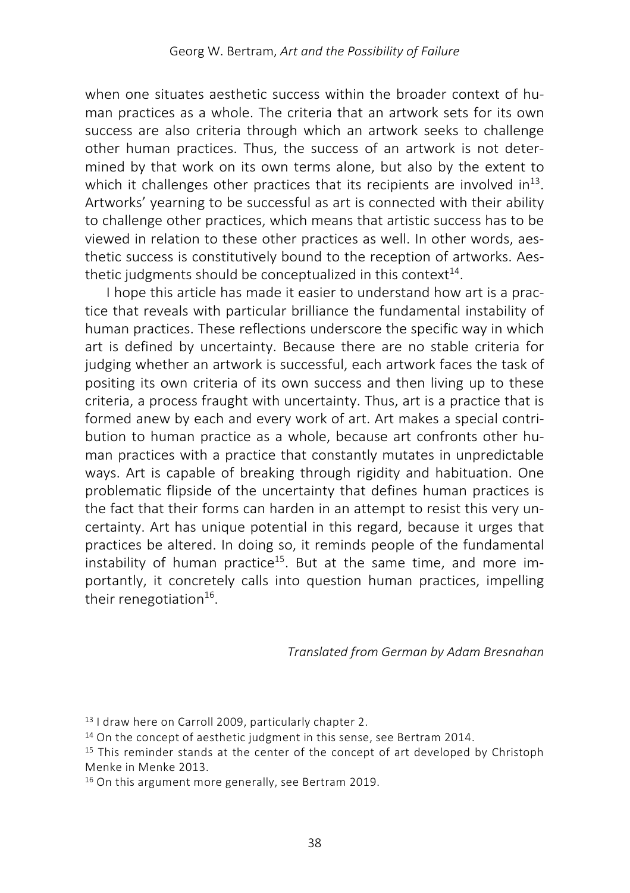when one situates aesthetic success within the broader context of human practices as a whole. The criteria that an artwork sets for its own success are also criteria through which an artwork seeks to challenge other human practices. Thus, the success of an artwork is not determined by that work on its own terms alone, but also by the extent to which it challenges other practices that its recipients are involved in<sup>13</sup>. Artworks' yearning to be successful as art is connected with their ability to challenge other practices, which means that artistic success has to be viewed in relation to these other practices as well. In other words, aesthetic success is constitutively bound to the reception of artworks. Aesthetic judgments should be conceptualized in this context $14$ .

I hope this article has made it easier to understand how art is a practice that reveals with particular brilliance the fundamental instability of human practices. These reflections underscore the specific way in which art is defined by uncertainty. Because there are no stable criteria for judging whether an artwork is successful, each artwork faces the task of positing its own criteria of its own success and then living up to these criteria, a process fraught with uncertainty. Thus, art is a practice that is formed anew by each and every work of art. Art makes a special contribution to human practice as a whole, because art confronts other human practices with a practice that constantly mutates in unpredictable ways. Art is capable of breaking through rigidity and habituation. One problematic flipside of the uncertainty that defines human practices is the fact that their forms can harden in an attempt to resist this very uncertainty. Art has unique potential in this regard, because it urges that practices be altered. In doing so, it reminds people of the fundamental instability of human practice<sup>15</sup>. But at the same time, and more importantly, it concretely calls into question human practices, impelling their renegotiation $16$ .

*Translated from German by Adam Bresnahan*

<sup>13</sup> I draw here on Carroll 2009, particularly chapter 2.

<sup>&</sup>lt;sup>14</sup> On the concept of aesthetic judgment in this sense, see Bertram 2014.

<sup>&</sup>lt;sup>15</sup> This reminder stands at the center of the concept of art developed by Christoph Menke in Menke 2013.

<sup>16</sup> On this argument more generally, see Bertram 2019.